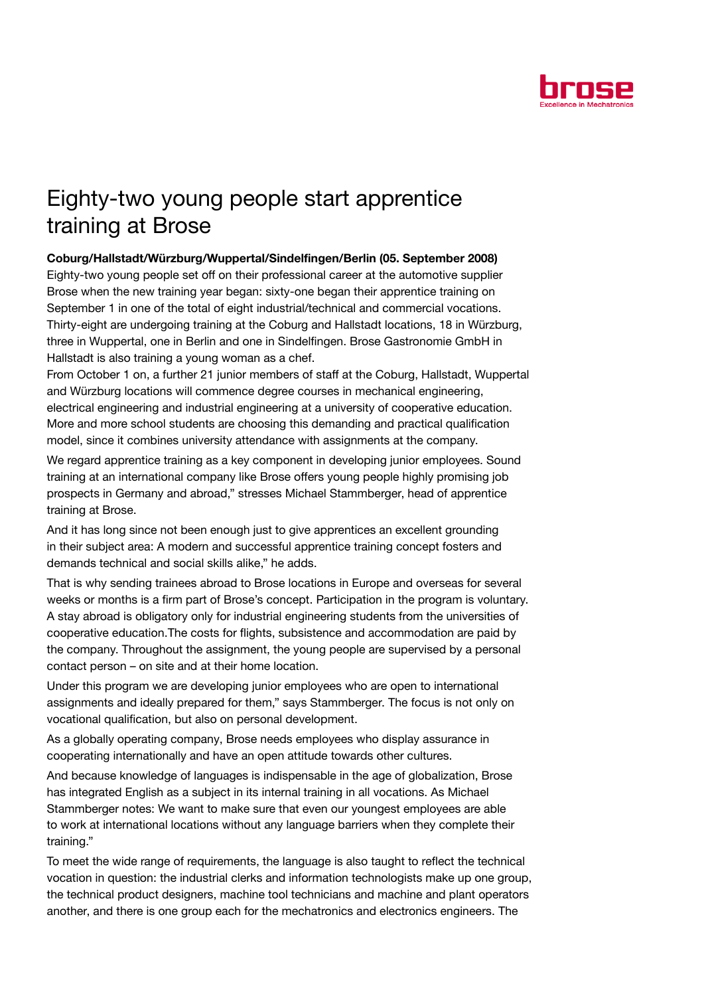

## Eighty-two young people start apprentice training at Brose

## Coburg/Hallstadt/Würzburg/Wuppertal/Sindelfingen/Berlin (05. September 2008)

Eighty-two young people set off on their professional career at the automotive supplier Brose when the new training year began: sixty-one began their apprentice training on September 1 in one of the total of eight industrial/technical and commercial vocations. Thirty-eight are undergoing training at the Coburg and Hallstadt locations, 18 in Würzburg, three in Wuppertal, one in Berlin and one in Sindelfingen. Brose Gastronomie GmbH in Hallstadt is also training a young woman as a chef.

From October 1 on, a further 21 junior members of staff at the Coburg, Hallstadt, Wuppertal and Würzburg locations will commence degree courses in mechanical engineering, electrical engineering and industrial engineering at a university of cooperative education. More and more school students are choosing this demanding and practical qualification model, since it combines university attendance with assignments at the company.

We regard apprentice training as a key component in developing junior employees. Sound training at an international company like Brose offers young people highly promising job prospects in Germany and abroad," stresses Michael Stammberger, head of apprentice training at Brose.

And it has long since not been enough just to give apprentices an excellent grounding in their subject area: A modern and successful apprentice training concept fosters and demands technical and social skills alike," he adds.

That is why sending trainees abroad to Brose locations in Europe and overseas for several weeks or months is a firm part of Brose's concept. Participation in the program is voluntary. A stay abroad is obligatory only for industrial engineering students from the universities of cooperative education.The costs for flights, subsistence and accommodation are paid by the company. Throughout the assignment, the young people are supervised by a personal contact person – on site and at their home location.

Under this program we are developing junior employees who are open to international assignments and ideally prepared for them," says Stammberger. The focus is not only on vocational qualification, but also on personal development.

As a globally operating company, Brose needs employees who display assurance in cooperating internationally and have an open attitude towards other cultures.

And because knowledge of languages is indispensable in the age of globalization, Brose has integrated English as a subject in its internal training in all vocations. As Michael Stammberger notes: We want to make sure that even our youngest employees are able to work at international locations without any language barriers when they complete their training."

To meet the wide range of requirements, the language is also taught to reflect the technical vocation in question: the industrial clerks and information technologists make up one group, the technical product designers, machine tool technicians and machine and plant operators another, and there is one group each for the mechatronics and electronics engineers. The